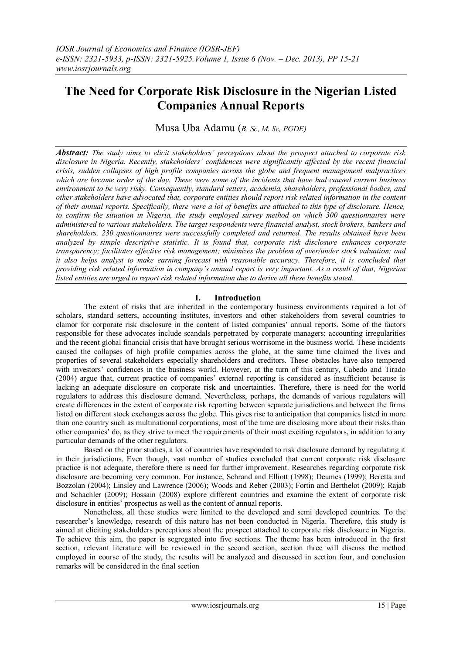# **The Need for Corporate Risk Disclosure in the Nigerian Listed Companies Annual Reports**

Musa Uba Adamu (*B. Sc, M. Sc, PGDE)*

*Abstract: The study aims to elicit stakeholders' perceptions about the prospect attached to corporate risk disclosure in Nigeria. Recently, stakeholders' confidences were significantly affected by the recent financial crisis, sudden collapses of high profile companies across the globe and frequent management malpractices which are became order of the day. These were some of the incidents that have had caused current business environment to be very risky. Consequently, standard setters, academia, shareholders, professional bodies, and other stakeholders have advocated that, corporate entities should report risk related information in the content of their annual reports. Specifically, there were a lot of benefits are attached to this type of disclosure. Hence, to confirm the situation in Nigeria, the study employed survey method on which 300 questionnaires were administered to various stakeholders. The target respondents were financial analyst, stock brokers, bankers and shareholders. 230 questionnaires were successfully completed and returned. The results obtained have been analyzed by simple descriptive statistic. It is found that, corporate risk disclosure enhances corporate transparency; facilitates effective risk management; minimizes the problem of over/under stock valuation; and it also helps analyst to make earning forecast with reasonable accuracy. Therefore, it is concluded that providing risk related information in company's annual report is very important. As a result of that, Nigerian listed entities are urged to report risk related information due to derive all these benefits stated.*

## **I. Introduction**

The extent of risks that are inherited in the contemporary business environments required a lot of scholars, standard setters, accounting institutes, investors and other stakeholders from several countries to clamor for corporate risk disclosure in the content of listed companies' annual reports. Some of the factors responsible for these advocates include scandals perpetrated by corporate managers; accounting irregularities and the recent global financial crisis that have brought serious worrisome in the business world. These incidents caused the collapses of high profile companies across the globe, at the same time claimed the lives and properties of several stakeholders especially shareholders and creditors. These obstacles have also tempered with investors' confidences in the business world. However, at the turn of this century, Cabedo and Tirado (2004) argue that, current practice of companies' external reporting is considered as insufficient because is lacking an adequate disclosure on corporate risk and uncertainties. Therefore, there is need for the world regulators to address this disclosure demand. Nevertheless, perhaps, the demands of various regulators will create differences in the extent of corporate risk reporting between separate jurisdictions and between the firms listed on different stock exchanges across the globe. This gives rise to anticipation that companies listed in more than one country such as multinational corporations, most of the time are disclosing more about their risks than other companies' do, as they strive to meet the requirements of their most exciting regulators, in addition to any particular demands of the other regulators.

Based on the prior studies, a lot of countries have responded to risk disclosure demand by regulating it in their jurisdictions. Even though, vast number of studies concluded that current corporate risk disclosure practice is not adequate, therefore there is need for further improvement. Researches regarding corporate risk disclosure are becoming very common. For instance, Schrand and Elliott (1998); Deumes (1999); Beretta and Bozzolan (2004); Linsley and Lawrence (2006); Woods and Reber (2003); Fortin and Berthelot (2009); Rajab and Schachler (2009); Hossain (2008) explore different countries and examine the extent of corporate risk disclosure in entities' prospectus as well as the content of annual reports.

Nonetheless, all these studies were limited to the developed and semi developed countries. To the researcher's knowledge, research of this nature has not been conducted in Nigeria. Therefore, this study is aimed at eliciting stakeholders perceptions about the prospect attached to corporate risk disclosure in Nigeria. To achieve this aim, the paper is segregated into five sections. The theme has been introduced in the first section, relevant literature will be reviewed in the second section, section three will discuss the method employed in course of the study, the results will be analyzed and discussed in section four, and conclusion remarks will be considered in the final section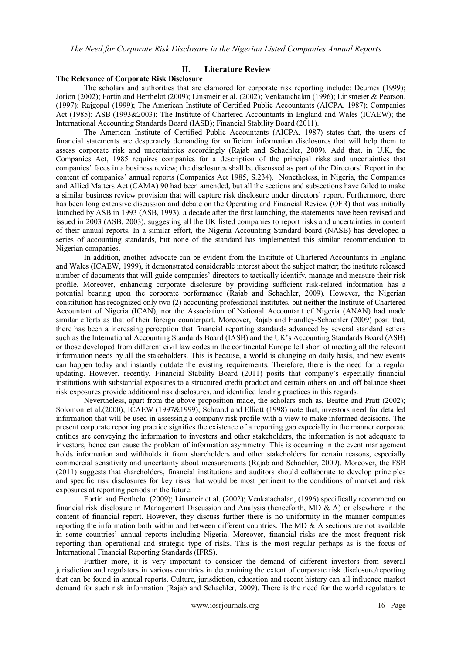# **II. Literature Review**

#### **The Relevance of Corporate Risk Disclosure**

The scholars and authorities that are clamored for corporate risk reporting include: Deumes (1999); Jorion (2002); Fortin and Berthelot (2009); Linsmeir et al. (2002); Venkatachalan (1996); Linsmeier & Pearson, (1997); Rajgopal (1999); The American Institute of Certified Public Accountants (AICPA, 1987); Companies Act (1985); ASB (1993&2003); The Institute of Chartered Accountants in England and Wales (ICAEW); the International Accounting Standards Board (IASB); Financial Stability Board (2011).

The American Institute of Certified Public Accountants (AICPA, 1987) states that, the users of financial statements are desperately demanding for sufficient information disclosures that will help them to assess corporate risk and uncertainties accordingly (Rajab and Schachler, 2009). Add that, in U.K, the Companies Act, 1985 requires companies for a description of the principal risks and uncertainties that companies' faces in a business review; the disclosures shall be discussed as part of the Directors' Report in the content of companies' annual reports (Companies Act 1985, S.234). Nonetheless, in Nigeria, the Companies and Allied Matters Act (CAMA) 90 had been amended, but all the sections and subsections have failed to make a similar business review provision that will capture risk disclosure under directors' report. Furthermore, there has been long extensive discussion and debate on the Operating and Financial Review (OFR) that was initially launched by ASB in 1993 (ASB, 1993), a decade after the first launching, the statements have been revised and issued in 2003 (ASB, 2003), suggesting all the UK listed companies to report risks and uncertainties in content of their annual reports. In a similar effort, the Nigeria Accounting Standard board (NASB) has developed a series of accounting standards, but none of the standard has implemented this similar recommendation to Nigerian companies.

In addition, another advocate can be evident from the Institute of Chartered Accountants in England and Wales (ICAEW, 1999), it demonstrated considerable interest about the subject matter; the institute released number of documents that will guide companies' directors to tactically identify, manage and measure their risk profile. Moreover, enhancing corporate disclosure by providing sufficient risk-related information has a potential bearing upon the corporate performance (Rajab and Schachler, 2009). However, the Nigerian constitution has recognized only two (2) accounting professional institutes, but neither the Institute of Chartered Accountant of Nigeria (ICAN), nor the Association of National Accountant of Nigeria (ANAN) had made similar efforts as that of their foreign counterpart. Moreover, Rajab and Handley-Schachler (2009) posit that, there has been a increasing perception that financial reporting standards advanced by several standard setters such as the International Accounting Standards Board (IASB) and the UK's Accounting Standards Board (ASB) or those developed from different civil law codes in the continental Europe fell short of meeting all the relevant information needs by all the stakeholders. This is because, a world is changing on daily basis, and new events can happen today and instantly outdate the existing requirements. Therefore, there is the need for a regular updating. However, recently, Financial Stability Board (2011) posits that company's especially financial institutions with substantial exposures to a structured credit product and certain others on and off balance sheet risk exposures provide additional risk disclosures, and identified leading practices in this regards.

Nevertheless, apart from the above proposition made, the scholars such as, Beattie and Pratt (2002); Solomon et al.(2000); ICAEW (1997&1999); Schrand and Elliott (1998) note that, investors need for detailed information that will be used in assessing a company risk profile with a view to make informed decisions. The present corporate reporting practice signifies the existence of a reporting gap especially in the manner corporate entities are conveying the information to investors and other stakeholders, the information is not adequate to investors, hence can cause the problem of information asymmetry. This is occurring in the event management holds information and withholds it from shareholders and other stakeholders for certain reasons, especially commercial sensitivity and uncertainty about measurements (Rajab and Schachler, 2009). Moreover, the FSB (2011) suggests that shareholders, financial institutions and auditors should collaborate to develop principles and specific risk disclosures for key risks that would be most pertinent to the conditions of market and risk exposures at reporting periods in the future.

Fortin and Berthelot (2009); Linsmeir et al. (2002); Venkatachalan, (1996) specifically recommend on financial risk disclosure in Management Discussion and Analysis (henceforth, MD & A) or elsewhere in the content of financial report. However, they discuss further there is no uniformity in the manner companies reporting the information both within and between different countries. The MD  $\&$  A sections are not available in some countries' annual reports including Nigeria. Moreover, financial risks are the most frequent risk reporting than operational and strategic type of risks. This is the most regular perhaps as is the focus of International Financial Reporting Standards (IFRS).

Further more, it is very important to consider the demand of different investors from several jurisdiction and regulators in various countries in determining the extent of corporate risk disclosure/reporting that can be found in annual reports. Culture, jurisdiction, education and recent history can all influence market demand for such risk information (Rajab and Schachler, 2009). There is the need for the world regulators to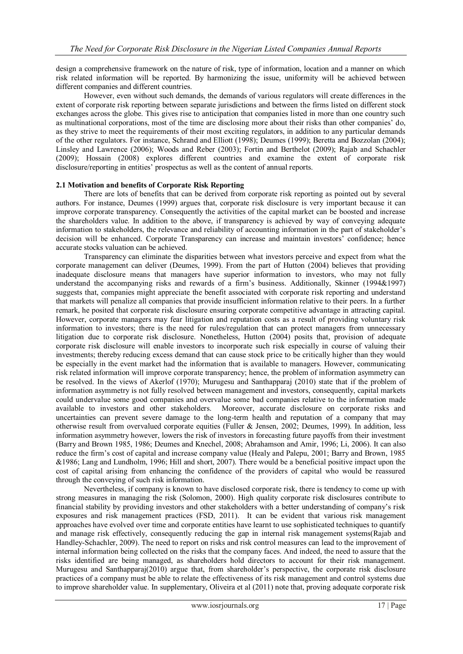design a comprehensive framework on the nature of risk, type of information, location and a manner on which risk related information will be reported. By harmonizing the issue, uniformity will be achieved between different companies and different countries.

However, even without such demands, the demands of various regulators will create differences in the extent of corporate risk reporting between separate jurisdictions and between the firms listed on different stock exchanges across the globe. This gives rise to anticipation that companies listed in more than one country such as multinational corporations, most of the time are disclosing more about their risks than other companies' do, as they strive to meet the requirements of their most exciting regulators, in addition to any particular demands of the other regulators. For instance, Schrand and Elliott (1998); Deumes (1999); Beretta and Bozzolan (2004); Linsley and Lawrence (2006); Woods and Reber (2003); Fortin and Berthelot (2009); Rajab and Schachler (2009); Hossain (2008) explores different countries and examine the extent of corporate risk disclosure/reporting in entities' prospectus as well as the content of annual reports.

#### **2.1 Motivation and benefits of Corporate Risk Reporting**

There are lots of benefits that can be derived from corporate risk reporting as pointed out by several authors. For instance, Deumes (1999) argues that, corporate risk disclosure is very important because it can improve corporate transparency. Consequently the activities of the capital market can be boosted and increase the shareholders value. In addition to the above, if transparency is achieved by way of conveying adequate information to stakeholders, the relevance and reliability of accounting information in the part of stakeholder's decision will be enhanced. Corporate Transparency can increase and maintain investors' confidence; hence accurate stocks valuation can be achieved.

Transparency can eliminate the disparities between what investors perceive and expect from what the corporate management can deliver (Deumes, 1999). From the part of Hutton (2004) believes that providing inadequate disclosure means that managers have superior information to investors, who may not fully understand the accompanying risks and rewards of a firm's business. Additionally, Skinner (1994&1997) suggests that, companies might appreciate the benefit associated with corporate risk reporting and understand that markets will penalize all companies that provide insufficient information relative to their peers. In a further remark, he posited that corporate risk disclosure ensuring corporate competitive advantage in attracting capital. However, corporate managers may fear litigation and reputation costs as a result of providing voluntary risk information to investors; there is the need for rules/regulation that can protect managers from unnecessary litigation due to corporate risk disclosure. Nonetheless, Hutton (2004) posits that, provision of adequate corporate risk disclosure will enable investors to incorporate such risk especially in course of valuing their investments; thereby reducing excess demand that can cause stock price to be critically higher than they would be especially in the event market had the information that is available to managers. However, communicating risk related information will improve corporate transparency; hence, the problem of information asymmetry can be resolved. In the views of Akerlof (1970); Murugesu and Santhapparaj (2010) state that if the problem of information asymmetry is not fully resolved between management and investors, consequently, capital markets could undervalue some good companies and overvalue some bad companies relative to the information made available to investors and other stakeholders. Moreover, accurate disclosure on corporate risks and uncertainties can prevent severe damage to the long-term health and reputation of a company that may otherwise result from overvalued corporate equities (Fuller & Jensen, 2002; Deumes, 1999). In addition, less information asymmetry however, lowers the risk of investors in forecasting future payoffs from their investment (Barry and Brown 1985, 1986; Deumes and Knechel, 2008; Abrahamson and Amir, 1996; Li, 2006). It can also reduce the firm's cost of capital and increase company value (Healy and Palepu, 2001; Barry and Brown, 1985 &1986; Lang and Lundholm, 1996; Hill and short, 2007). There would be a beneficial positive impact upon the cost of capital arising from enhancing the confidence of the providers of capital who would be reassured through the conveying of such risk information.

Nevertheless, if company is known to have disclosed corporate risk, there is tendency to come up with strong measures in managing the risk (Solomon, 2000). High quality corporate risk disclosures contribute to financial stability by providing investors and other stakeholders with a better understanding of company's risk exposures and risk management practices (FSD, 2011). It can be evident that various risk management approaches have evolved over time and corporate entities have learnt to use sophisticated techniques to quantify and manage risk effectively, consequently reducing the gap in internal risk management systems(Rajab and Handley-Schachler, 2009). The need to report on risks and risk control measures can lead to the improvement of internal information being collected on the risks that the company faces. And indeed, the need to assure that the risks identified are being managed, as shareholders hold directors to account for their risk management. Murugesu and Santhapparaj(2010) argue that, from shareholder's perspective, the corporate risk disclosure practices of a company must be able to relate the effectiveness of its risk management and control systems due to improve shareholder value. In supplementary, Oliveira et al (2011) note that, proving adequate corporate risk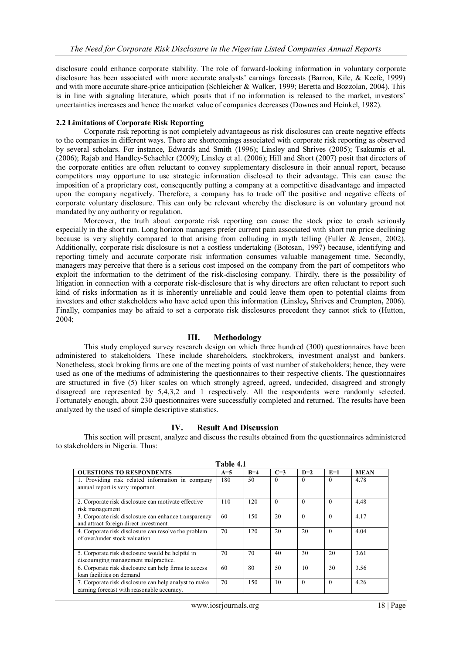disclosure could enhance corporate stability. The role of forward-looking information in voluntary corporate disclosure has been associated with more accurate analysts' earnings forecasts (Barron, Kile, & Keefe, 1999) and with more accurate share-price anticipation (Schleicher & Walker, 1999; Beretta and Bozzolan, 2004). This is in line with signaling literature, which posits that if no information is released to the market, investors' uncertainties increases and hence the market value of companies decreases (Downes and Heinkel, 1982).

#### **2.2 Limitations of Corporate Risk Reporting**

Corporate risk reporting is not completely advantageous as risk disclosures can create negative effects to the companies in different ways. There are shortcomings associated with corporate risk reporting as observed by several scholars. For instance, Edwards and Smith (1996); Linsley and Shrives (2005); Tsakumis et al. (2006); Rajab and Handley-Schachler (2009); Linsley et al. (2006); Hill and Short (2007) posit that directors of the corporate entities are often reluctant to convey supplementary disclosure in their annual report, because competitors may opportune to use strategic information disclosed to their advantage. This can cause the imposition of a proprietary cost, consequently putting a company at a competitive disadvantage and impacted upon the company negatively. Therefore, a company has to trade off the positive and negative effects of corporate voluntary disclosure. This can only be relevant whereby the disclosure is on voluntary ground not mandated by any authority or regulation.

Moreover, the truth about corporate risk reporting can cause the stock price to crash seriously especially in the short run. Long horizon managers prefer current pain associated with short run price declining because is very slightly compared to that arising from colluding in myth telling (Fuller & Jensen, 2002). Additionally, corporate risk disclosure is not a costless undertaking (Botosan, 1997) because, identifying and reporting timely and accurate corporate risk information consumes valuable management time. Secondly, managers may perceive that there is a serious cost imposed on the company from the part of competitors who exploit the information to the detriment of the risk-disclosing company. Thirdly, there is the possibility of litigation in connection with a corporate risk-disclosure that is why directors are often reluctant to report such kind of risks information as it is inherently unreliable and could leave them open to potential claims from investors and other stakeholders who have acted upon this information (Linsley**,** Shrives and Crumpton**,** 2006). Finally, companies may be afraid to set a corporate risk disclosures precedent they cannot stick to (Hutton, 2004;

## **III. Methodology**

This study employed survey research design on which three hundred (300) questionnaires have been administered to stakeholders. These include shareholders, stockbrokers, investment analyst and bankers. Nonetheless, stock broking firms are one of the meeting points of vast number of stakeholders; hence, they were used as one of the mediums of administering the questionnaires to their respective clients. The questionnaires are structured in five (5) liker scales on which strongly agreed, agreed, undecided, disagreed and strongly disagreed are represented by 5,4,3,2 and 1 respectively. All the respondents were randomly selected. Fortunately enough, about 230 questionnaires were successfully completed and returned. The results have been analyzed by the used of simple descriptive statistics.

## **IV. Result And Discussion**

This section will present, analyze and discuss the results obtained from the questionnaires administered to stakeholders in Nigeria. Thus:

| Table 4.1                                                                                           |       |       |          |          |          |             |  |  |  |  |
|-----------------------------------------------------------------------------------------------------|-------|-------|----------|----------|----------|-------------|--|--|--|--|
| <b>OUESTIONS TO RESPONDENTS</b>                                                                     | $A=5$ | $B=4$ | $C=3$    | $D=2$    | $E=1$    | <b>MEAN</b> |  |  |  |  |
| 1. Providing risk related information in company                                                    | 180   | 50    | $\theta$ | $\Omega$ | $\Omega$ | 4.78        |  |  |  |  |
| annual report is very important.                                                                    |       |       |          |          |          |             |  |  |  |  |
| 2. Corporate risk disclosure can motivate effective                                                 | 110   | 120   | $\theta$ | $\Omega$ | $\Omega$ | 4.48        |  |  |  |  |
| risk management                                                                                     |       |       |          |          |          |             |  |  |  |  |
| 3. Corporate risk disclosure can enhance transparency<br>and attract foreign direct investment.     | 60    | 150   | 20       | $\Omega$ | $\Omega$ | 4.17        |  |  |  |  |
| 4. Corporate risk disclosure can resolve the problem<br>of over/under stock valuation               | 70    | 120   | 20       | 20       | $\Omega$ | 4.04        |  |  |  |  |
| 5. Corporate risk disclosure would be helpful in<br>discouraging management malpractice.            | 70    | 70    | 40       | 30       | 20       | 3.61        |  |  |  |  |
| 6. Corporate risk disclosure can help firms to access<br>loan facilities on demand                  | 60    | 80    | 50       | 10       | 30       | 3.56        |  |  |  |  |
| 7. Corporate risk disclosure can help analyst to make<br>earning forecast with reasonable accuracy. | 70    | 150   | 10       | $\Omega$ | $\Omega$ | 4.26        |  |  |  |  |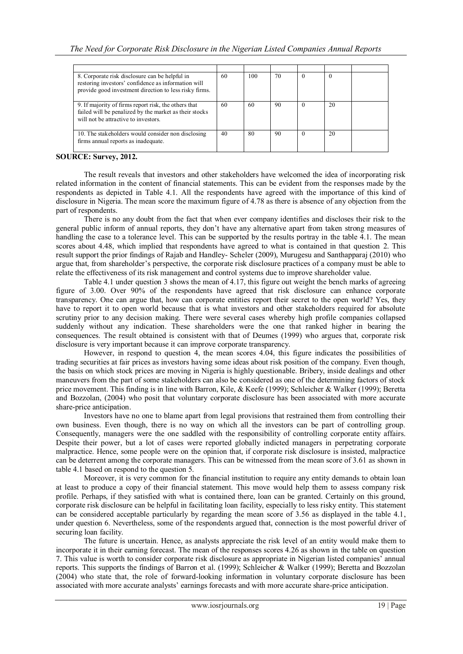| 8. Corporate risk disclosure can be helpful in<br>restoring investors' confidence as information will<br>provide good investment direction to less risky firms. | 60 | 100 | 70 | $\Omega$ | $_{0}$ |  |
|-----------------------------------------------------------------------------------------------------------------------------------------------------------------|----|-----|----|----------|--------|--|
| 9. If majority of firms report risk, the others that<br>failed will be penalized by the market as their stocks<br>will not be attractive to investors.          | 60 | 60  | 90 | $\left($ | 20     |  |
| 10. The stakeholders would consider non disclosing<br>firms annual reports as inadequate.                                                                       | 40 | 80  | 90 | $\Omega$ | 20     |  |

# **SOURCE: Survey, 2012.**

The result reveals that investors and other stakeholders have welcomed the idea of incorporating risk related information in the content of financial statements. This can be evident from the responses made by the respondents as depicted in Table 4.1. All the respondents have agreed with the importance of this kind of disclosure in Nigeria. The mean score the maximum figure of 4.78 as there is absence of any objection from the part of respondents.

There is no any doubt from the fact that when ever company identifies and discloses their risk to the general public inform of annual reports, they don't have any alternative apart from taken strong measures of handling the case to a tolerance level. This can be supported by the results portray in the table 4.1. The mean scores about 4.48, which implied that respondents have agreed to what is contained in that question 2. This result support the prior findings of Rajab and Handley- Scheler (2009), Murugesu and Santhapparaj (2010) who argue that, from shareholder's perspective, the corporate risk disclosure practices of a company must be able to relate the effectiveness of its risk management and control systems due to improve shareholder value.

Table 4.1 under question 3 shows the mean of 4.17, this figure out weight the bench marks of agreeing figure of 3.00. Over 90% of the respondents have agreed that risk disclosure can enhance corporate transparency. One can argue that, how can corporate entities report their secret to the open world? Yes, they have to report it to open world because that is what investors and other stakeholders required for absolute scrutiny prior to any decision making. There were several cases whereby high profile companies collapsed suddenly without any indication. These shareholders were the one that ranked higher in bearing the consequences. The result obtained is consistent with that of Deumes (1999) who argues that, corporate risk disclosure is very important because it can improve corporate transparency.

However, in respond to question 4, the mean scores 4.04, this figure indicates the possibilities of trading securities at fair prices as investors having some ideas about risk position of the company. Even though, the basis on which stock prices are moving in Nigeria is highly questionable. Bribery, inside dealings and other maneuvers from the part of some stakeholders can also be considered as one of the determining factors of stock price movement. This finding is in line with Barron, Kile, & Keefe (1999); Schleicher & Walker (1999); Beretta and Bozzolan, (2004) who posit that voluntary corporate disclosure has been associated with more accurate share-price anticipation.

Investors have no one to blame apart from legal provisions that restrained them from controlling their own business. Even though, there is no way on which all the investors can be part of controlling group. Consequently, managers were the one saddled with the responsibility of controlling corporate entity affairs. Despite their power, but a lot of cases were reported globally indicted managers in perpetrating corporate malpractice. Hence, some people were on the opinion that, if corporate risk disclosure is insisted, malpractice can be deterrent among the corporate managers. This can be witnessed from the mean score of 3.61 as shown in table 4.1 based on respond to the question 5.

 Moreover, it is very common for the financial institution to require any entity demands to obtain loan at least to produce a copy of their financial statement. This move would help them to assess company risk profile. Perhaps, if they satisfied with what is contained there, loan can be granted. Certainly on this ground, corporate risk disclosure can be helpful in facilitating loan facility, especially to less risky entity. This statement can be considered acceptable particularly by regarding the mean score of 3.56 as displayed in the table 4.1, under question 6. Nevertheless, some of the respondents argued that, connection is the most powerful driver of securing loan facility.

The future is uncertain. Hence, as analysts appreciate the risk level of an entity would make them to incorporate it in their earning forecast. The mean of the responses scores 4.26 as shown in the table on question 7. This value is worth to consider corporate risk disclosure as appropriate in Nigerian listed companies' annual reports. This supports the findings of Barron et al. (1999); Schleicher & Walker (1999); Beretta and Bozzolan (2004) who state that, the role of forward-looking information in voluntary corporate disclosure has been associated with more accurate analysts' earnings forecasts and with more accurate share-price anticipation.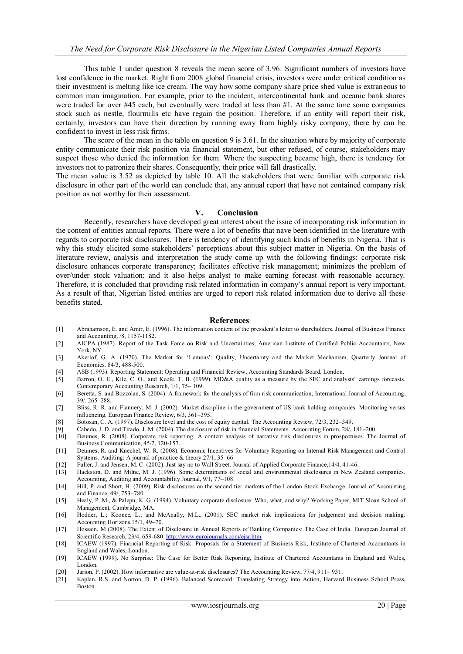This table 1 under question 8 reveals the mean score of 3.96. Significant numbers of investors have lost confidence in the market. Right from 2008 global financial crisis, investors were under critical condition as their investment is melting like ice cream. The way how some company share price shed value is extraneous to common man imagination. For example, prior to the incident, intercontinental bank and oceanic bank shares were traded for over #45 each, but eventually were traded at less than #1. At the same time some companies stock such as nestle, flourmills etc have regain the position. Therefore, if an entity will report their risk, certainly, investors can have their direction by running away from highly risky company, there by can be confident to invest in less risk firms.

The score of the mean in the table on question 9 is 3.61. In the situation where by majority of corporate entity communicate their risk position via financial statement, but other refused, of course, stakeholders may suspect those who denied the information for them. Where the suspecting became high, there is tendency for investors not to patronize their shares. Consequently, their price will fall drastically.

The mean value is 3.52 as depicted by table 10. All the stakeholders that were familiar with corporate risk disclosure in other part of the world can conclude that, any annual report that have not contained company risk position as not worthy for their assessment.

#### **V. Conclusion**

Recently, researchers have developed great interest about the issue of incorporating risk information in the content of entities annual reports. There were a lot of benefits that nave been identified in the literature with regards to corporate risk disclosures. There is tendency of identifying such kinds of benefits in Nigeria. That is why this study elicited some stakeholders' perceptions about this subject matter in Nigeria. On the basis of literature review, analysis and interpretation the study come up with the following findings: corporate risk disclosure enhances corporate transparency; facilitates effective risk management; minimizes the problem of over/under stock valuation; and it also helps analyst to make earning forecast with reasonable accuracy. Therefore, it is concluded that providing risk related information in company's annual report is very important. As a result of that, Nigerian listed entities are urged to report risk related information due to derive all these benefits stated.

#### **References***:*

- [1] Abrahamson, E. and Amir, E. (1996). The information content of the president's letter to shareholders. Journal of Business Finance and Accounting, /8, 1157-1182.
- [2] AICPA (1987). Report of the Task Force on Risk and Uncertainties, American Institute of Certified Public Accountants, New York, NY.
- [3] Akerlof, G. A. (1970). The Market for 'Lemons': Quality, Uncertainty and the Market Mechanism, Quarterly Journal of Economics. 84/3, 488-500.
- [4] ASB (1993). Reporting Statement: Operating and Financial Review, Accounting Standards Board, London.<br>[5] Barron, O. E., Kile, C. O., and Keefe, T. B. (1999). MD&A quality as a measure by the SEC and anal
- [5] Barron, O. E., Kile, C. O., and Keefe, T. B. (1999). MD&A quality as a measure by the SEC and analysts' earnings forecasts. Contemporary Accounting Research, 1/1, 75– 109.
- [6] Beretta, S. and Bozzolan, S. (2004). A framework for the analysis of firm risk communication, International Journal of Accounting, 39/. 265–288.
- [7] Bliss, R. R. and Flannery, M. J. (2002). Market discipline in the government of US bank holding companies: Monitoring versus influencing. European Finance Review, 6/3, 361–395.
- [8] Botosan, C. A. (1997). Disclosure level and the cost of equity capital. The Accounting Review, 72/3, 232–349.<br>
[9] Cabedo, J. D. and Tirado, J. M. (2004). The disclosure of risk in financial Statements. Accounting Foru
- [9] Cabedo, J. D. and Tirado, J. M. (2004). The disclosure of risk in financial Statements. Accounting Forum, 28/, 181–200.
- Deumes, R. (2008). Corporate risk reporting: A content analysis of narrative risk disclosures in prospectuses. The Journal of Business Communication, 45/2, 120-157.
- [11] Deumes, R. and Knechel, W. R. (2008). Economic Incentives for Voluntary Reporting on Internal Risk Management and Control Systems. Auditing: A journal of practice & theory 27/1, 35–66
- [12] Fuller, J. and Jensen, M. C. (2002). Just say no to Wall Street. Journal of Applied Corporate Finance,14/4, 41-46.
- [13] Hackston, D. and Milne, M. J. (1996). Some determinants of social and environmental disclosures in New Zealand companies. Accounting, Auditing and Accountability Journal, 9/1, 77–108.
- [14] Hill, P. and Short, H. (2009). Risk disclosures on the second tier markets of the London Stock Exchange. Journal of Accounting and Finance, 49/, 753–780.
- [15] Healy, P. M., & Palepu, K. G. (1994). Voluntary corporate disclosure: Who, what, and why? Working Paper, MIT Sloan School of Management, Cambridge, MA.
- [16] Hodder, L.; Koonce, L.; and McAnally, M.L., (2001). SEC market risk implications for judgement and decision making. Accounting Horizons,15/1, 49–70.
- [17] Hossain, M (2008). The Extent of Disclosure in Annual Reports of Banking Companies: The Case of India. European Journal of Scientific Research, 23/4, 659-680[. http://www.eurojournals.com/ejsr.htm](http://www.eurojournals.com/ejsr.htm)
- [18] ICAEW (1997). Financial Reporting of Risk: Proposals for a Statement of Business Risk, Institute of Chartered Accountants in England and Wales, London.
- [19] ICAEW (1999). No Surprise: The Case for Better Risk Reporting, Institute of Chartered Accountants in England and Wales, London.
- [20] Jarion, P. (2002). How informative are value-at-risk disclosures? The Accounting Review, 77/4, 911– 931.
- [21] Kaplan, R.S. and Norton, D. P. (1996). Balanced Scorecard: Translating Strategy into Action, Harvard Business School Press, Boston.